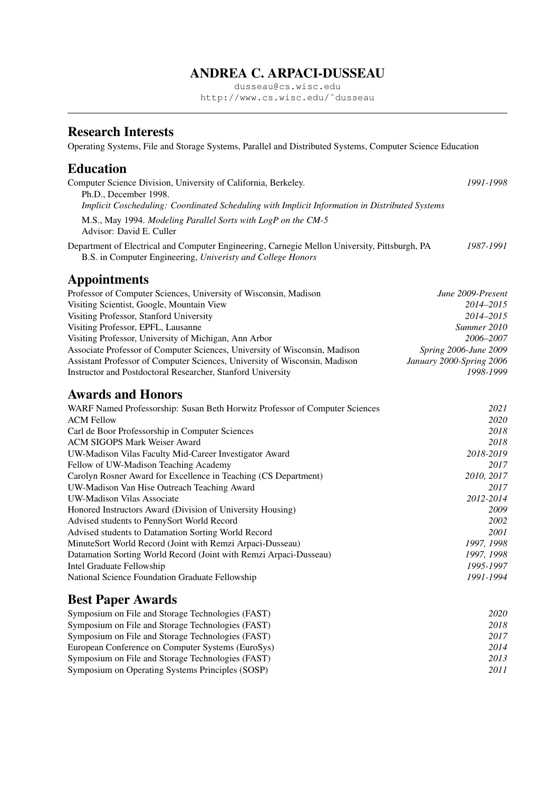# ANDREA C. ARPACI-DUSSEAU

dusseau@cs.wisc.edu http://www.cs.wisc.edu/˜dusseau

# Research Interests

Operating Systems, File and Storage Systems, Parallel and Distributed Systems, Computer Science Education

## Education

| Computer Science Division, University of California, Berkeley.<br>Ph.D., December 1998.<br>Implicit Coscheduling: Coordinated Scheduling with Implicit Information in Distributed Systems | 1991-1998                |
|-------------------------------------------------------------------------------------------------------------------------------------------------------------------------------------------|--------------------------|
| M.S., May 1994. Modeling Parallel Sorts with LogP on the CM-5<br>Advisor: David E. Culler                                                                                                 |                          |
| Department of Electrical and Computer Engineering, Carnegie Mellon University, Pittsburgh, PA<br>B.S. in Computer Engineering, Univeristy and College Honors                              | 1987-1991                |
| <b>Appointments</b>                                                                                                                                                                       |                          |
| Professor of Computer Sciences, University of Wisconsin, Madison                                                                                                                          | June 2009-Present        |
| Visiting Scientist, Google, Mountain View                                                                                                                                                 | 2014-2015                |
| Visiting Professor, Stanford University                                                                                                                                                   | 2014-2015                |
| Visiting Professor, EPFL, Lausanne                                                                                                                                                        | Summer 2010              |
| Visiting Professor, University of Michigan, Ann Arbor                                                                                                                                     | 2006-2007                |
| Associate Professor of Computer Sciences, University of Wisconsin, Madison                                                                                                                | Spring 2006-June 2009    |
| Assistant Professor of Computer Sciences, University of Wisconsin, Madison                                                                                                                | January 2000-Spring 2006 |
| Instructor and Postdoctoral Researcher, Stanford University                                                                                                                               | 1998-1999                |
| <b>Awards and Honors</b>                                                                                                                                                                  |                          |
| WARF Named Professorship: Susan Beth Horwitz Professor of Computer Sciences                                                                                                               | 2021                     |
| <b>ACM Fellow</b>                                                                                                                                                                         | 2020                     |
| Carl de Boor Professorship in Computer Sciences                                                                                                                                           | 2018                     |
| <b>ACM SIGOPS Mark Weiser Award</b>                                                                                                                                                       | 2018                     |
| UW-Madison Vilas Faculty Mid-Career Investigator Award                                                                                                                                    | 2018-2019                |
| Fellow of UW-Madison Teaching Academy                                                                                                                                                     | 2017                     |
| Carolyn Rosner Award for Excellence in Teaching (CS Department)                                                                                                                           | 2010, 2017               |
| UW-Madison Van Hise Outreach Teaching Award                                                                                                                                               | 2017                     |

Honored Instructors Award (Division of University Housing) *2009*<br>Advised students to PennySort World Record *2002* Advised students to PennySort World Record Advised students to Datamation Sorting World Record *2001* MinuteSort World Record (Joint with Remzi Arpaci-Dusseau) *1997, 1998* Datamation Sorting World Record (Joint with Remzi Arpaci-Dusseau) *1997, 1998*

# Best Paper Awards

Intel Graduate Fellowship *1995-1997*

| Symposium on File and Storage Technologies (FAST) | 2020 |
|---------------------------------------------------|------|
| Symposium on File and Storage Technologies (FAST) | 2018 |
| Symposium on File and Storage Technologies (FAST) | 2017 |
| European Conference on Computer Systems (EuroSys) | 2014 |
| Symposium on File and Storage Technologies (FAST) | 2013 |
| Symposium on Operating Systems Principles (SOSP)  | 2011 |

National Science Foundation Graduate Fellowship *1991-1994*

UW-Madison Vilas Associate *2012-2014*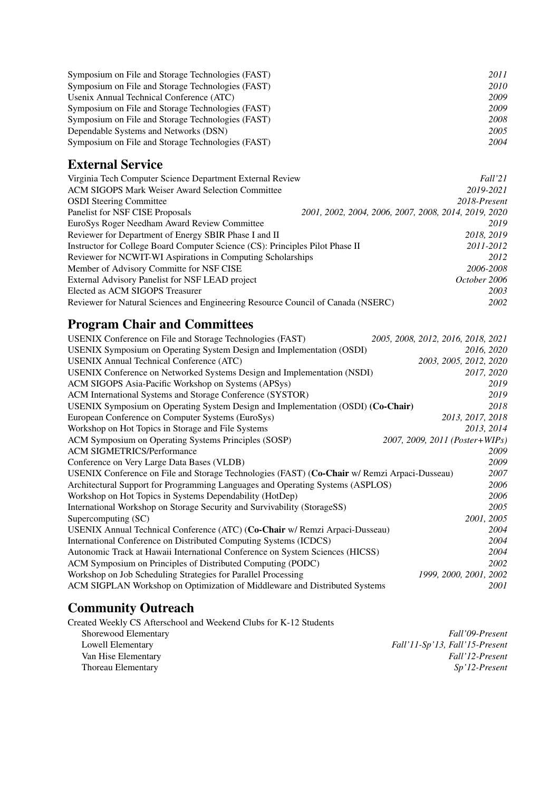| Symposium on File and Storage Technologies (FAST) | 2011        |
|---------------------------------------------------|-------------|
| Symposium on File and Storage Technologies (FAST) | <i>2010</i> |
| Usenix Annual Technical Conference (ATC)          | 2009        |
| Symposium on File and Storage Technologies (FAST) | 2009        |
| Symposium on File and Storage Technologies (FAST) | 2008        |
| Dependable Systems and Networks (DSN)             | 2005        |
| Symposium on File and Storage Technologies (FAST) | 2004        |

# External Service

| Virginia Tech Computer Science Department External Review                        | Fall'21                                              |
|----------------------------------------------------------------------------------|------------------------------------------------------|
| <b>ACM SIGOPS Mark Weiser Award Selection Committee</b>                          | 2019-2021                                            |
| <b>OSDI</b> Steering Committee                                                   | 2018-Present                                         |
| Panelist for NSF CISE Proposals                                                  | 2001, 2002, 2004, 2006, 2007, 2008, 2014, 2019, 2020 |
| EuroSys Roger Needham Award Review Committee                                     | 2019                                                 |
| Reviewer for Department of Energy SBIR Phase I and II                            | 2018, 2019                                           |
| Instructor for College Board Computer Science (CS): Principles Pilot Phase II    | 2011-2012                                            |
| Reviewer for NCWIT-WI Aspirations in Computing Scholarships                      | 2012                                                 |
| Member of Advisory Committe for NSF CISE                                         | 2006-2008                                            |
| External Advisory Panelist for NSF LEAD project                                  | October 2006                                         |
| Elected as ACM SIGOPS Treasurer                                                  | 2003                                                 |
| Reviewer for Natural Sciences and Engineering Resource Council of Canada (NSERC) | 2002                                                 |

# Program Chair and Committees

| USENIX Conference on File and Storage Technologies (FAST)                                    | 2005, 2008, 2012, 2016, 2018, 2021 |
|----------------------------------------------------------------------------------------------|------------------------------------|
| USENIX Symposium on Operating System Design and Implementation (OSDI)                        | 2016, 2020                         |
| <b>USENIX Annual Technical Conference (ATC)</b>                                              | 2003, 2005, 2012, 2020             |
| USENIX Conference on Networked Systems Design and Implementation (NSDI)                      | 2017, 2020                         |
| ACM SIGOPS Asia-Pacific Workshop on Systems (APSys)                                          | 2019                               |
| ACM International Systems and Storage Conference (SYSTOR)                                    | 2019                               |
| USENIX Symposium on Operating System Design and Implementation (OSDI) (Co-Chair)             | 2018                               |
| European Conference on Computer Systems (EuroSys)                                            | 2013, 2017, 2018                   |
| Workshop on Hot Topics in Storage and File Systems                                           | 2013, 2014                         |
| ACM Symposium on Operating Systems Principles (SOSP)                                         | 2007, 2009, 2011 (Poster+WIPs)     |
| <b>ACM SIGMETRICS/Performance</b>                                                            | 2009                               |
| Conference on Very Large Data Bases (VLDB)                                                   | 2009                               |
| USENIX Conference on File and Storage Technologies (FAST) (Co-Chair w/ Remzi Arpaci-Dusseau) | 2007                               |
| Architectural Support for Programming Languages and Operating Systems (ASPLOS)               | 2006                               |
| Workshop on Hot Topics in Systems Dependability (HotDep)                                     | 2006                               |
| International Workshop on Storage Security and Survivability (StorageSS)                     | 2005                               |
| Supercomputing (SC)                                                                          | 2001, 2005                         |
| USENIX Annual Technical Conference (ATC) (Co-Chair w/ Remzi Arpaci-Dusseau)                  | 2004                               |
| International Conference on Distributed Computing Systems (ICDCS)                            | 2004                               |
| Autonomic Track at Hawaii International Conference on System Sciences (HICSS)                | 2004                               |
| ACM Symposium on Principles of Distributed Computing (PODC)                                  | 2002                               |
| Workshop on Job Scheduling Strategies for Parallel Processing                                | 1999, 2000, 2001, 2002             |
| ACM SIGPLAN Workshop on Optimization of Middleware and Distributed Systems                   | 2001                               |

# Community Outreach

Created Weekly CS Afterschool and Weekend Clubs for K-12 Students

| Shorewood Elementary | Fall'09-Present                |
|----------------------|--------------------------------|
| Lowell Elementary    | Fall'11-Sp'13, Fall'15-Present |
| Van Hise Elementary  | Fall'12-Present                |
| Thoreau Elementary   | Sp'12-Present                  |
|                      |                                |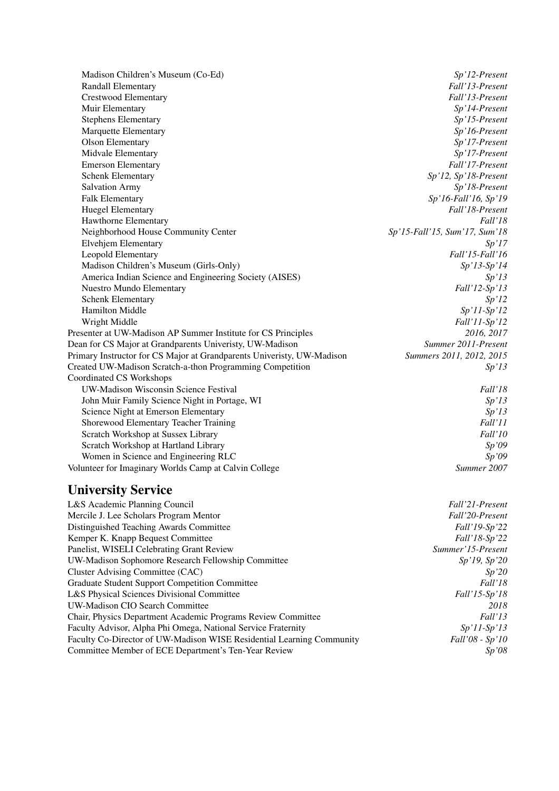Madison Children's Museum (Co-Ed) *Sp'12-Present* Randall Elementary *Fall'13-Present* Crestwood Elementary *Fall'13-Present* Muir Elementary *Sp'14-Present* Stephens Elementary *Sp'15-Present* Marquette Elementary *Sp'16-Present* Olson Elementary *Sp'17-Present* Midvale Elementary *Sp'17-Present* Emerson Elementary *Fall'17-Present* Schenk Elementary *Sp'12, Sp'18-Present* Salvation Army *Sp'18-Present* Falk Elementary *Sp'16-Fall'16, Sp'19* Huegel Elementary *Fall'18-Present* Hawthorne Elementary *Fall'18* Neighborhood House Community Center *Sp'15-Fall'15, Sum'17, Sum'18* Elvehjem Elementary *Sp'17* Leopold Elementary *Fall'15-Fall'16* Madison Children's Museum (Girls-Only) *Sp'13-Sp'14* America Indian Science and Engineering Society (AISES) *Sp'13* Nuestro Mundo Elementary *Fall'12-Sp'13* Schenk Elementary *Sp'12* Hamilton Middle *Sp'11-Sp'12* Wright Middle *Fall'11-Sp'12* Presenter at UW-Madison AP Summer Institute for CS Principles *2016, 2017* Dean for CS Major at Grandparents Univeristy, UW-Madison Primary Instructor for CS Major at Grandparents Univeristy, UW-Madison *Summers 2011, 2012, 2015* Created UW-Madison Scratch-a-thon Programming Competition *Sp'13* Coordinated CS Workshops UW-Madison Wisconsin Science Festival *Fall'18* John Muir Family Science Night in Portage, WI *Sp'13* Science Night at Emerson Elementary *Sp'13 Sp'13* Shorewood Elementary Teacher Training *Fall'11* Scratch Workshop at Sussex Library *Fall'10* Scratch Workshop at Hartland Library *Sp'09* Women in Science and Engineering RLC *Sp'09* Volunteer for Imaginary Worlds Camp at Calvin College *Summer 2007*

## University Service

| L&S Academic Planning Council                                         | Fall'21-Present        |
|-----------------------------------------------------------------------|------------------------|
| Mercile J. Lee Scholars Program Mentor                                | Fall'20-Present        |
| Distinguished Teaching Awards Committee                               | <i>Fall</i> '19-Sp'22  |
| Kemper K. Knapp Bequest Committee                                     | <i>Fall'18-Sp'22</i>   |
| Panelist, WISELI Celebrating Grant Review                             | Summer'15-Present      |
| UW-Madison Sophomore Research Fellowship Committee                    | Sp'19, Sp'20           |
| Cluster Advising Committee (CAC)                                      | Sp'20                  |
| Graduate Student Support Competition Committee                        | Fall'18                |
| L&S Physical Sciences Divisional Committee                            | Fall'15-Sp'18          |
| UW-Madison CIO Search Committee                                       | 2018                   |
| Chair, Physics Department Academic Programs Review Committee          | Fall'13                |
| Faculty Advisor, Alpha Phi Omega, National Service Fraternity         | $Sp'11-Sp'13$          |
| Faculty Co-Director of UW-Madison WISE Residential Learning Community | <i>Fall'08 - Sp'10</i> |
| Committee Member of ECE Department's Ten-Year Review                  | Sp'08                  |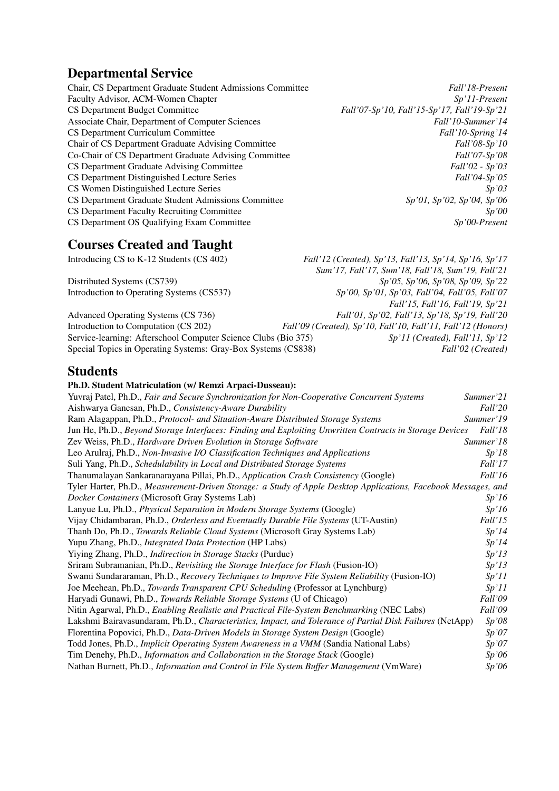# Departmental Service

| Chair, CS Department Graduate Student Admissions Committee | Fall'18-Present                             |
|------------------------------------------------------------|---------------------------------------------|
| Faculty Advisor, ACM-Women Chapter                         | $Sp'II-Present$                             |
| CS Department Budget Committee                             | Fall'07-Sp'10, Fall'15-Sp'17, Fall'19-Sp'21 |
| Associate Chair, Department of Computer Sciences           | Fall'10-Summer'14                           |
| CS Department Curriculum Committee                         | Fall'10-Spring'14                           |
| Chair of CS Department Graduate Advising Committee         | <i>Fall</i> '08-Sp'10                       |
| Co-Chair of CS Department Graduate Advising Committee      | <i>Fall</i> '07-Sp'08                       |
| CS Department Graduate Advising Committee                  | $Fall'02 - Sp'03$                           |
| CS Department Distinguished Lecture Series                 | <i>Fall</i> '04-Sp'05                       |
| CS Women Distinguished Lecture Series                      | Sp'03                                       |
| CS Department Graduate Student Admissions Committee        | $Sp'01$ , $Sp'02$ , $Sp'04$ , $Sp'06$       |
| CS Department Faculty Recruiting Committee                 | Sp'00                                       |
| CS Department OS Qualifying Exam Committee                 | $Sp'00$ -Present                            |

# Courses Created and Taught

| Fall'12 (Created), Sp'13, Fall'13, Sp'14, Sp'16, Sp'17       |
|--------------------------------------------------------------|
| Sum'17, Fall'17, Sum'18, Fall'18, Sum'19, Fall'21            |
| $Sp'05$ , $Sp'06$ , $Sp'08$ , $Sp'09$ , $Sp'22$              |
| Sp'00, Sp'01, Sp'03, Fall'04, Fall'05, Fall'07               |
| Fall'15, Fall'16, Fall'19, Sp'21                             |
| Fall'01, Sp'02, Fall'13, Sp'18, Sp'19, Fall'20               |
| Fall'09 (Created), Sp'10, Fall'10, Fall'11, Fall'12 (Honors) |
| $Sp'11$ (Created), Fall'11, Sp'12                            |
| Fall'02 (Created)                                            |
|                                                              |

## Students

#### Ph.D. Student Matriculation (w/ Remzi Arpaci-Dusseau):

| Yuvraj Patel, Ph.D., Fair and Secure Synchronization for Non-Cooperative Concurrent Systems                    | Summer'21 |
|----------------------------------------------------------------------------------------------------------------|-----------|
| Aishwarya Ganesan, Ph.D., Consistency-Aware Durability                                                         | Fall'20   |
| Ram Alagappan, Ph.D., Protocol- and Situation-Aware Distributed Storage Systems                                | Summer'19 |
| Jun He, Ph.D., Beyond Storage Interfaces: Finding and Exploiting Unwritten Contracts in Storage Devices        | Fall'18   |
| Zev Weiss, Ph.D., Hardware Driven Evolution in Storage Software                                                | Summer'18 |
| Leo Arulraj, Ph.D., Non-Invasive I/O Classification Techniques and Applications                                | Sp'18     |
| Suli Yang, Ph.D., Schedulability in Local and Distributed Storage Systems                                      | Fall'17   |
| Thanumalayan Sankaranarayana Pillai, Ph.D., Application Crash Consistency (Google)                             | Fall'16   |
| Tyler Harter, Ph.D., Measurement-Driven Storage: a Study of Apple Desktop Applications, Facebook Messages, and |           |
| Docker Containers (Microsoft Gray Systems Lab)                                                                 | Sp'16     |
| Lanyue Lu, Ph.D., Physical Separation in Modern Storage Systems (Google)                                       | Sp'16     |
| Vijay Chidambaran, Ph.D., Orderless and Eventually Durable File Systems (UT-Austin)                            | Fall'15   |
| Thanh Do, Ph.D., Towards Reliable Cloud Systems (Microsoft Gray Systems Lab)                                   | Sp'14     |
| Yupu Zhang, Ph.D., Integrated Data Protection (HP Labs)                                                        | Sp'14     |
| Yiying Zhang, Ph.D., Indirection in Storage Stacks (Purdue)                                                    | Sp'13     |
| Sriram Subramanian, Ph.D., Revisiting the Storage Interface for Flash (Fusion-IO)                              | Sp'13     |
| Swami Sundararaman, Ph.D., Recovery Techniques to Improve File System Reliability (Fusion-IO)                  | Sp'11     |
| Joe Meehean, Ph.D., Towards Transparent CPU Scheduling (Professor at Lynchburg)                                | Sp'11     |
| Haryadi Gunawi, Ph.D., Towards Reliable Storage Systems (U of Chicago)                                         | Fall'09   |
| Nitin Agarwal, Ph.D., Enabling Realistic and Practical File-System Benchmarking (NEC Labs)                     | Fall'09   |
| Lakshmi Bairavasundaram, Ph.D., Characteristics, Impact, and Tolerance of Partial Disk Failures (NetApp)       | Sp'08     |
| Florentina Popovici, Ph.D., Data-Driven Models in Storage System Design (Google)                               | Sp'07     |
| Todd Jones, Ph.D., <i>Implicit Operating System Awareness in a VMM</i> (Sandia National Labs)                  | Sp'07     |
| Tim Denehy, Ph.D., Information and Collaboration in the Storage Stack (Google)                                 | Sp'06     |
| Nathan Burnett, Ph.D., Information and Control in File System Buffer Management (VmWare)                       | Sp'06     |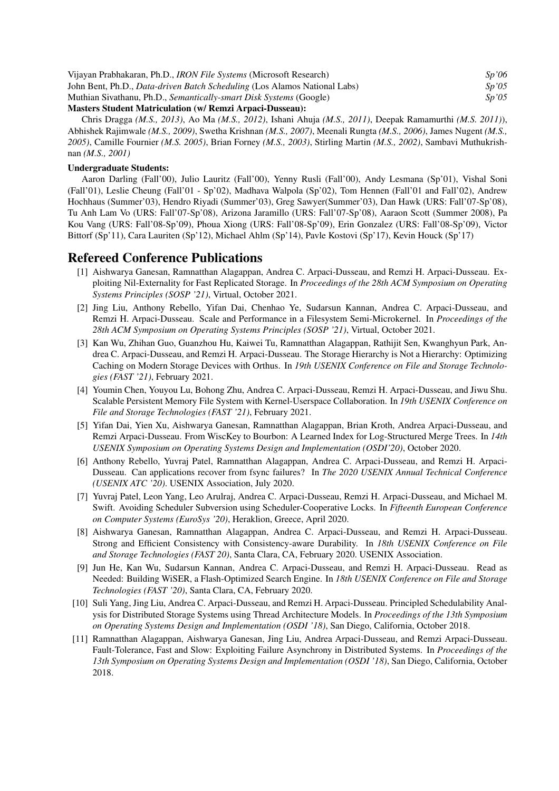| Vijayan Prabhakaran, Ph.D., <i>IRON File Systems</i> (Microsoft Research)        | Sv'06 |
|----------------------------------------------------------------------------------|-------|
| John Bent, Ph.D., <i>Data-driven Batch Scheduling</i> (Los Alamos National Labs) | Sp'05 |
| Muthian Sivathanu, Ph.D., Semantically-smart Disk Systems (Google)               | Sp'05 |
| 10. OII.III. ILAN                                                                |       |

#### Masters Student Matriculation (w/ Remzi Arpaci-Dusseau):

Chris Dragga *(M.S., 2013)*, Ao Ma *(M.S., 2012)*, Ishani Ahuja *(M.S., 2011)*, Deepak Ramamurthi *(M.S. 2011)*), Abhishek Rajimwale *(M.S., 2009)*, Swetha Krishnan *(M.S., 2007)*, Meenali Rungta *(M.S., 2006)*, James Nugent *(M.S., 2005)*, Camille Fournier *(M.S. 2005)*, Brian Forney *(M.S., 2003)*, Stirling Martin *(M.S., 2002)*, Sambavi Muthukrishnan *(M.S., 2001)*

#### Undergraduate Students:

Aaron Darling (Fall'00), Julio Lauritz (Fall'00), Yenny Rusli (Fall'00), Andy Lesmana (Sp'01), Vishal Soni (Fall'01), Leslie Cheung (Fall'01 - Sp'02), Madhava Walpola (Sp'02), Tom Hennen (Fall'01 and Fall'02), Andrew Hochhaus (Summer'03), Hendro Riyadi (Summer'03), Greg Sawyer(Summer'03), Dan Hawk (URS: Fall'07-Sp'08), Tu Anh Lam Vo (URS: Fall'07-Sp'08), Arizona Jaramillo (URS: Fall'07-Sp'08), Aaraon Scott (Summer 2008), Pa Kou Vang (URS: Fall'08-Sp'09), Phoua Xiong (URS: Fall'08-Sp'09), Erin Gonzalez (URS: Fall'08-Sp'09), Victor Bittorf (Sp'11), Cara Lauriten (Sp'12), Michael Ahlm (Sp'14), Pavle Kostovi (Sp'17), Kevin Houck (Sp'17)

## Refereed Conference Publications

- [1] Aishwarya Ganesan, Ramnatthan Alagappan, Andrea C. Arpaci-Dusseau, and Remzi H. Arpaci-Dusseau. Exploiting Nil-Externality for Fast Replicated Storage. In *Proceedings of the 28th ACM Symposium on Operating Systems Principles (SOSP '21)*, Virtual, October 2021.
- [2] Jing Liu, Anthony Rebello, Yifan Dai, Chenhao Ye, Sudarsun Kannan, Andrea C. Arpaci-Dusseau, and Remzi H. Arpaci-Dusseau. Scale and Performance in a Filesystem Semi-Microkernel. In *Proceedings of the 28th ACM Symposium on Operating Systems Principles (SOSP '21)*, Virtual, October 2021.
- [3] Kan Wu, Zhihan Guo, Guanzhou Hu, Kaiwei Tu, Ramnatthan Alagappan, Rathijit Sen, Kwanghyun Park, Andrea C. Arpaci-Dusseau, and Remzi H. Arpaci-Dusseau. The Storage Hierarchy is Not a Hierarchy: Optimizing Caching on Modern Storage Devices with Orthus. In *19th USENIX Conference on File and Storage Technologies (FAST '21)*, February 2021.
- [4] Youmin Chen, Youyou Lu, Bohong Zhu, Andrea C. Arpaci-Dusseau, Remzi H. Arpaci-Dusseau, and Jiwu Shu. Scalable Persistent Memory File System with Kernel-Userspace Collaboration. In *19th USENIX Conference on File and Storage Technologies (FAST '21)*, February 2021.
- [5] Yifan Dai, Yien Xu, Aishwarya Ganesan, Ramnatthan Alagappan, Brian Kroth, Andrea Arpaci-Dusseau, and Remzi Arpaci-Dusseau. From WiscKey to Bourbon: A Learned Index for Log-Structured Merge Trees. In *14th USENIX Symposium on Operating Systems Design and Implementation (OSDI'20)*, October 2020.
- [6] Anthony Rebello, Yuvraj Patel, Ramnatthan Alagappan, Andrea C. Arpaci-Dusseau, and Remzi H. Arpaci-Dusseau. Can applications recover from fsync failures? In *The 2020 USENIX Annual Technical Conference (USENIX ATC '20)*. USENIX Association, July 2020.
- [7] Yuvraj Patel, Leon Yang, Leo Arulraj, Andrea C. Arpaci-Dusseau, Remzi H. Arpaci-Dusseau, and Michael M. Swift. Avoiding Scheduler Subversion using Scheduler-Cooperative Locks. In *Fifteenth European Conference on Computer Systems (EuroSys '20)*, Heraklion, Greece, April 2020.
- [8] Aishwarya Ganesan, Ramnatthan Alagappan, Andrea C. Arpaci-Dusseau, and Remzi H. Arpaci-Dusseau. Strong and Efficient Consistency with Consistency-aware Durability. In *18th USENIX Conference on File and Storage Technologies (FAST 20)*, Santa Clara, CA, February 2020. USENIX Association.
- [9] Jun He, Kan Wu, Sudarsun Kannan, Andrea C. Arpaci-Dusseau, and Remzi H. Arpaci-Dusseau. Read as Needed: Building WiSER, a Flash-Optimized Search Engine. In *18th USENIX Conference on File and Storage Technologies (FAST '20)*, Santa Clara, CA, February 2020.
- [10] Suli Yang, Jing Liu, Andrea C. Arpaci-Dusseau, and Remzi H. Arpaci-Dusseau. Principled Schedulability Analysis for Distributed Storage Systems using Thread Architecture Models. In *Proceedings of the 13th Symposium on Operating Systems Design and Implementation (OSDI '18)*, San Diego, California, October 2018.
- [11] Ramnatthan Alagappan, Aishwarya Ganesan, Jing Liu, Andrea Arpaci-Dusseau, and Remzi Arpaci-Dusseau. Fault-Tolerance, Fast and Slow: Exploiting Failure Asynchrony in Distributed Systems. In *Proceedings of the 13th Symposium on Operating Systems Design and Implementation (OSDI '18)*, San Diego, California, October 2018.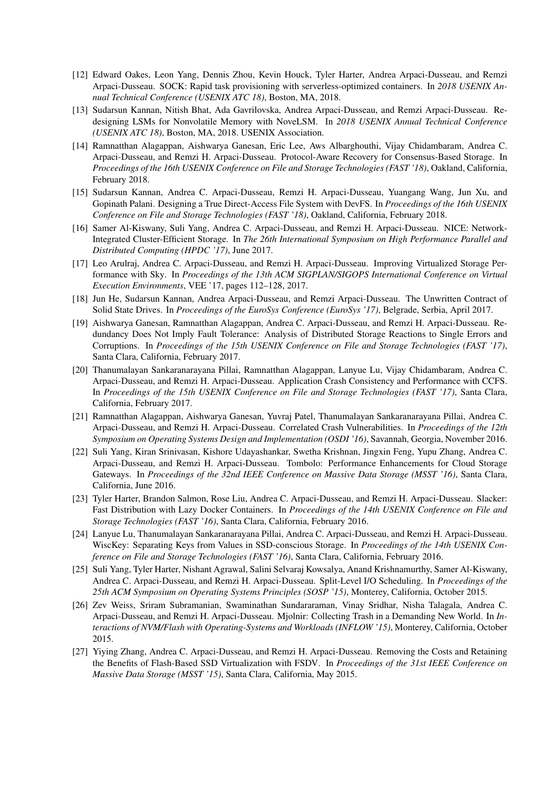- [12] Edward Oakes, Leon Yang, Dennis Zhou, Kevin Houck, Tyler Harter, Andrea Arpaci-Dusseau, and Remzi Arpaci-Dusseau. SOCK: Rapid task provisioning with serverless-optimized containers. In *2018 USENIX Annual Technical Conference (USENIX ATC 18)*, Boston, MA, 2018.
- [13] Sudarsun Kannan, Nitish Bhat, Ada Gavrilovska, Andrea Arpaci-Dusseau, and Remzi Arpaci-Dusseau. Redesigning LSMs for Nonvolatile Memory with NoveLSM. In *2018 USENIX Annual Technical Conference (USENIX ATC 18)*, Boston, MA, 2018. USENIX Association.
- [14] Ramnatthan Alagappan, Aishwarya Ganesan, Eric Lee, Aws Albarghouthi, Vijay Chidambaram, Andrea C. Arpaci-Dusseau, and Remzi H. Arpaci-Dusseau. Protocol-Aware Recovery for Consensus-Based Storage. In *Proceedings of the 16th USENIX Conference on File and Storage Technologies (FAST '18)*, Oakland, California, February 2018.
- [15] Sudarsun Kannan, Andrea C. Arpaci-Dusseau, Remzi H. Arpaci-Dusseau, Yuangang Wang, Jun Xu, and Gopinath Palani. Designing a True Direct-Access File System with DevFS. In *Proceedings of the 16th USENIX Conference on File and Storage Technologies (FAST '18)*, Oakland, California, February 2018.
- [16] Samer Al-Kiswany, Suli Yang, Andrea C. Arpaci-Dusseau, and Remzi H. Arpaci-Dusseau. NICE: Network-Integrated Cluster-Efficient Storage. In *The 26th International Symposium on High Performance Parallel and Distributed Computing (HPDC '17)*, June 2017.
- [17] Leo Arulraj, Andrea C. Arpaci-Dusseau, and Remzi H. Arpaci-Dusseau. Improving Virtualized Storage Performance with Sky. In *Proceedings of the 13th ACM SIGPLAN/SIGOPS International Conference on Virtual Execution Environments*, VEE '17, pages 112–128, 2017.
- [18] Jun He, Sudarsun Kannan, Andrea Arpaci-Dusseau, and Remzi Arpaci-Dusseau. The Unwritten Contract of Solid State Drives. In *Proceedings of the EuroSys Conference (EuroSys '17)*, Belgrade, Serbia, April 2017.
- [19] Aishwarya Ganesan, Ramnatthan Alagappan, Andrea C. Arpaci-Dusseau, and Remzi H. Arpaci-Dusseau. Redundancy Does Not Imply Fault Tolerance: Analysis of Distributed Storage Reactions to Single Errors and Corruptions. In *Proceedings of the 15th USENIX Conference on File and Storage Technologies (FAST '17)*, Santa Clara, California, February 2017.
- [20] Thanumalayan Sankaranarayana Pillai, Ramnatthan Alagappan, Lanyue Lu, Vijay Chidambaram, Andrea C. Arpaci-Dusseau, and Remzi H. Arpaci-Dusseau. Application Crash Consistency and Performance with CCFS. In *Proceedings of the 15th USENIX Conference on File and Storage Technologies (FAST '17)*, Santa Clara, California, February 2017.
- [21] Ramnatthan Alagappan, Aishwarya Ganesan, Yuvraj Patel, Thanumalayan Sankaranarayana Pillai, Andrea C. Arpaci-Dusseau, and Remzi H. Arpaci-Dusseau. Correlated Crash Vulnerabilities. In *Proceedings of the 12th Symposium on Operating Systems Design and Implementation (OSDI '16)*, Savannah, Georgia, November 2016.
- [22] Suli Yang, Kiran Srinivasan, Kishore Udayashankar, Swetha Krishnan, Jingxin Feng, Yupu Zhang, Andrea C. Arpaci-Dusseau, and Remzi H. Arpaci-Dusseau. Tombolo: Performance Enhancements for Cloud Storage Gateways. In *Proceedings of the 32nd IEEE Conference on Massive Data Storage (MSST '16)*, Santa Clara, California, June 2016.
- [23] Tyler Harter, Brandon Salmon, Rose Liu, Andrea C. Arpaci-Dusseau, and Remzi H. Arpaci-Dusseau. Slacker: Fast Distribution with Lazy Docker Containers. In *Proceedings of the 14th USENIX Conference on File and Storage Technologies (FAST '16)*, Santa Clara, California, February 2016.
- [24] Lanyue Lu, Thanumalayan Sankaranarayana Pillai, Andrea C. Arpaci-Dusseau, and Remzi H. Arpaci-Dusseau. WiscKey: Separating Keys from Values in SSD-conscious Storage. In *Proceedings of the 14th USENIX Conference on File and Storage Technologies (FAST '16)*, Santa Clara, California, February 2016.
- [25] Suli Yang, Tyler Harter, Nishant Agrawal, Salini Selvaraj Kowsalya, Anand Krishnamurthy, Samer Al-Kiswany, Andrea C. Arpaci-Dusseau, and Remzi H. Arpaci-Dusseau. Split-Level I/O Scheduling. In *Proceedings of the 25th ACM Symposium on Operating Systems Principles (SOSP '15)*, Monterey, California, October 2015.
- [26] Zev Weiss, Sriram Subramanian, Swaminathan Sundararaman, Vinay Sridhar, Nisha Talagala, Andrea C. Arpaci-Dusseau, and Remzi H. Arpaci-Dusseau. Mjolnir: Collecting Trash in a Demanding New World. In *Interactions of NVM/Flash with Operating-Systems and Workloads (INFLOW '15)*, Monterey, California, October 2015.
- [27] Yiying Zhang, Andrea C. Arpaci-Dusseau, and Remzi H. Arpaci-Dusseau. Removing the Costs and Retaining the Benefits of Flash-Based SSD Virtualization with FSDV. In *Proceedings of the 31st IEEE Conference on Massive Data Storage (MSST '15)*, Santa Clara, California, May 2015.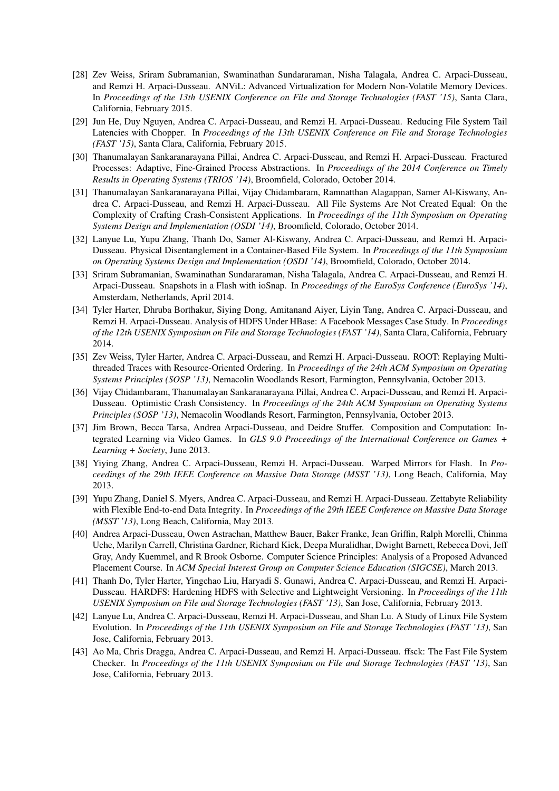- [28] Zev Weiss, Sriram Subramanian, Swaminathan Sundararaman, Nisha Talagala, Andrea C. Arpaci-Dusseau, and Remzi H. Arpaci-Dusseau. ANViL: Advanced Virtualization for Modern Non-Volatile Memory Devices. In *Proceedings of the 13th USENIX Conference on File and Storage Technologies (FAST '15)*, Santa Clara, California, February 2015.
- [29] Jun He, Duy Nguyen, Andrea C. Arpaci-Dusseau, and Remzi H. Arpaci-Dusseau. Reducing File System Tail Latencies with Chopper. In *Proceedings of the 13th USENIX Conference on File and Storage Technologies (FAST '15)*, Santa Clara, California, February 2015.
- [30] Thanumalayan Sankaranarayana Pillai, Andrea C. Arpaci-Dusseau, and Remzi H. Arpaci-Dusseau. Fractured Processes: Adaptive, Fine-Grained Process Abstractions. In *Proceedings of the 2014 Conference on Timely Results in Operating Systems (TRIOS '14)*, Broomfield, Colorado, October 2014.
- [31] Thanumalayan Sankaranarayana Pillai, Vijay Chidambaram, Ramnatthan Alagappan, Samer Al-Kiswany, Andrea C. Arpaci-Dusseau, and Remzi H. Arpaci-Dusseau. All File Systems Are Not Created Equal: On the Complexity of Crafting Crash-Consistent Applications. In *Proceedings of the 11th Symposium on Operating Systems Design and Implementation (OSDI '14)*, Broomfield, Colorado, October 2014.
- [32] Lanyue Lu, Yupu Zhang, Thanh Do, Samer Al-Kiswany, Andrea C. Arpaci-Dusseau, and Remzi H. Arpaci-Dusseau. Physical Disentanglement in a Container-Based File System. In *Proceedings of the 11th Symposium on Operating Systems Design and Implementation (OSDI '14)*, Broomfield, Colorado, October 2014.
- [33] Sriram Subramanian, Swaminathan Sundararaman, Nisha Talagala, Andrea C. Arpaci-Dusseau, and Remzi H. Arpaci-Dusseau. Snapshots in a Flash with ioSnap. In *Proceedings of the EuroSys Conference (EuroSys '14)*, Amsterdam, Netherlands, April 2014.
- [34] Tyler Harter, Dhruba Borthakur, Siying Dong, Amitanand Aiyer, Liyin Tang, Andrea C. Arpaci-Dusseau, and Remzi H. Arpaci-Dusseau. Analysis of HDFS Under HBase: A Facebook Messages Case Study. In *Proceedings of the 12th USENIX Symposium on File and Storage Technologies (FAST '14)*, Santa Clara, California, February 2014.
- [35] Zev Weiss, Tyler Harter, Andrea C. Arpaci-Dusseau, and Remzi H. Arpaci-Dusseau. ROOT: Replaying Multithreaded Traces with Resource-Oriented Ordering. In *Proceedings of the 24th ACM Symposium on Operating Systems Principles (SOSP '13)*, Nemacolin Woodlands Resort, Farmington, Pennsylvania, October 2013.
- [36] Vijay Chidambaram, Thanumalayan Sankaranarayana Pillai, Andrea C. Arpaci-Dusseau, and Remzi H. Arpaci-Dusseau. Optimistic Crash Consistency. In *Proceedings of the 24th ACM Symposium on Operating Systems Principles (SOSP '13)*, Nemacolin Woodlands Resort, Farmington, Pennsylvania, October 2013.
- [37] Jim Brown, Becca Tarsa, Andrea Arpaci-Dusseau, and Deidre Stuffer. Composition and Computation: Integrated Learning via Video Games. In *GLS 9.0 Proceedings of the International Conference on Games + Learning + Society*, June 2013.
- [38] Yiying Zhang, Andrea C. Arpaci-Dusseau, Remzi H. Arpaci-Dusseau. Warped Mirrors for Flash. In *Proceedings of the 29th IEEE Conference on Massive Data Storage (MSST '13)*, Long Beach, California, May 2013.
- [39] Yupu Zhang, Daniel S. Myers, Andrea C. Arpaci-Dusseau, and Remzi H. Arpaci-Dusseau. Zettabyte Reliability with Flexible End-to-end Data Integrity. In *Proceedings of the 29th IEEE Conference on Massive Data Storage (MSST '13)*, Long Beach, California, May 2013.
- [40] Andrea Arpaci-Dusseau, Owen Astrachan, Matthew Bauer, Baker Franke, Jean Griffin, Ralph Morelli, Chinma Uche, Marilyn Carrell, Christina Gardner, Richard Kick, Deepa Muralidhar, Dwight Barnett, Rebecca Dovi, Jeff Gray, Andy Kuemmel, and R Brook Osborne. Computer Science Principles: Analysis of a Proposed Advanced Placement Course. In *ACM Special Interest Group on Computer Science Education (SIGCSE)*, March 2013.
- [41] Thanh Do, Tyler Harter, Yingchao Liu, Haryadi S. Gunawi, Andrea C. Arpaci-Dusseau, and Remzi H. Arpaci-Dusseau. HARDFS: Hardening HDFS with Selective and Lightweight Versioning. In *Proceedings of the 11th USENIX Symposium on File and Storage Technologies (FAST '13)*, San Jose, California, February 2013.
- [42] Lanyue Lu, Andrea C. Arpaci-Dusseau, Remzi H. Arpaci-Dusseau, and Shan Lu. A Study of Linux File System Evolution. In *Proceedings of the 11th USENIX Symposium on File and Storage Technologies (FAST '13)*, San Jose, California, February 2013.
- [43] Ao Ma, Chris Dragga, Andrea C. Arpaci-Dusseau, and Remzi H. Arpaci-Dusseau. ffsck: The Fast File System Checker. In *Proceedings of the 11th USENIX Symposium on File and Storage Technologies (FAST '13)*, San Jose, California, February 2013.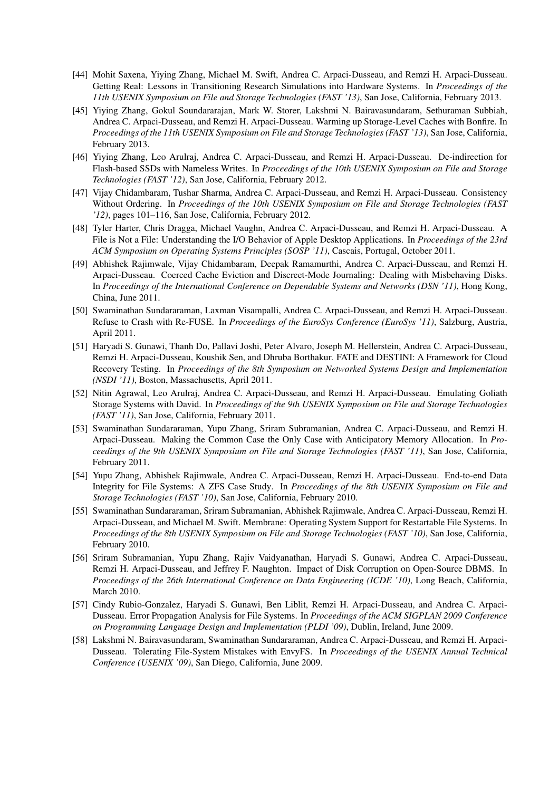- [44] Mohit Saxena, Yiying Zhang, Michael M. Swift, Andrea C. Arpaci-Dusseau, and Remzi H. Arpaci-Dusseau. Getting Real: Lessons in Transitioning Research Simulations into Hardware Systems. In *Proceedings of the 11th USENIX Symposium on File and Storage Technologies (FAST '13)*, San Jose, California, February 2013.
- [45] Yiying Zhang, Gokul Soundararajan, Mark W. Storer, Lakshmi N. Bairavasundaram, Sethuraman Subbiah, Andrea C. Arpaci-Dusseau, and Remzi H. Arpaci-Dusseau. Warming up Storage-Level Caches with Bonfire. In *Proceedings of the 11th USENIX Symposium on File and Storage Technologies (FAST '13)*, San Jose, California, February 2013.
- [46] Yiying Zhang, Leo Arulraj, Andrea C. Arpaci-Dusseau, and Remzi H. Arpaci-Dusseau. De-indirection for Flash-based SSDs with Nameless Writes. In *Proceedings of the 10th USENIX Symposium on File and Storage Technologies (FAST '12)*, San Jose, California, February 2012.
- [47] Vijay Chidambaram, Tushar Sharma, Andrea C. Arpaci-Dusseau, and Remzi H. Arpaci-Dusseau. Consistency Without Ordering. In *Proceedings of the 10th USENIX Symposium on File and Storage Technologies (FAST '12)*, pages 101–116, San Jose, California, February 2012.
- [48] Tyler Harter, Chris Dragga, Michael Vaughn, Andrea C. Arpaci-Dusseau, and Remzi H. Arpaci-Dusseau. A File is Not a File: Understanding the I/O Behavior of Apple Desktop Applications. In *Proceedings of the 23rd ACM Symposium on Operating Systems Principles (SOSP '11)*, Cascais, Portugal, October 2011.
- [49] Abhishek Rajimwale, Vijay Chidambaram, Deepak Ramamurthi, Andrea C. Arpaci-Dusseau, and Remzi H. Arpaci-Dusseau. Coerced Cache Eviction and Discreet-Mode Journaling: Dealing with Misbehaving Disks. In *Proceedings of the International Conference on Dependable Systems and Networks (DSN '11)*, Hong Kong, China, June 2011.
- [50] Swaminathan Sundararaman, Laxman Visampalli, Andrea C. Arpaci-Dusseau, and Remzi H. Arpaci-Dusseau. Refuse to Crash with Re-FUSE. In *Proceedings of the EuroSys Conference (EuroSys '11)*, Salzburg, Austria, April 2011.
- [51] Haryadi S. Gunawi, Thanh Do, Pallavi Joshi, Peter Alvaro, Joseph M. Hellerstein, Andrea C. Arpaci-Dusseau, Remzi H. Arpaci-Dusseau, Koushik Sen, and Dhruba Borthakur. FATE and DESTINI: A Framework for Cloud Recovery Testing. In *Proceedings of the 8th Symposium on Networked Systems Design and Implementation (NSDI '11)*, Boston, Massachusetts, April 2011.
- [52] Nitin Agrawal, Leo Arulraj, Andrea C. Arpaci-Dusseau, and Remzi H. Arpaci-Dusseau. Emulating Goliath Storage Systems with David. In *Proceedings of the 9th USENIX Symposium on File and Storage Technologies (FAST '11)*, San Jose, California, February 2011.
- [53] Swaminathan Sundararaman, Yupu Zhang, Sriram Subramanian, Andrea C. Arpaci-Dusseau, and Remzi H. Arpaci-Dusseau. Making the Common Case the Only Case with Anticipatory Memory Allocation. In *Proceedings of the 9th USENIX Symposium on File and Storage Technologies (FAST '11)*, San Jose, California, February 2011.
- [54] Yupu Zhang, Abhishek Rajimwale, Andrea C. Arpaci-Dusseau, Remzi H. Arpaci-Dusseau. End-to-end Data Integrity for File Systems: A ZFS Case Study. In *Proceedings of the 8th USENIX Symposium on File and Storage Technologies (FAST '10)*, San Jose, California, February 2010.
- [55] Swaminathan Sundararaman, Sriram Subramanian, Abhishek Rajimwale, Andrea C. Arpaci-Dusseau, Remzi H. Arpaci-Dusseau, and Michael M. Swift. Membrane: Operating System Support for Restartable File Systems. In *Proceedings of the 8th USENIX Symposium on File and Storage Technologies (FAST '10)*, San Jose, California, February 2010.
- [56] Sriram Subramanian, Yupu Zhang, Rajiv Vaidyanathan, Haryadi S. Gunawi, Andrea C. Arpaci-Dusseau, Remzi H. Arpaci-Dusseau, and Jeffrey F. Naughton. Impact of Disk Corruption on Open-Source DBMS. In *Proceedings of the 26th International Conference on Data Engineering (ICDE '10)*, Long Beach, California, March 2010.
- [57] Cindy Rubio-Gonzalez, Haryadi S. Gunawi, Ben Liblit, Remzi H. Arpaci-Dusseau, and Andrea C. Arpaci-Dusseau. Error Propagation Analysis for File Systems. In *Proceedings of the ACM SIGPLAN 2009 Conference on Programming Language Design and Implementation (PLDI '09)*, Dublin, Ireland, June 2009.
- [58] Lakshmi N. Bairavasundaram, Swaminathan Sundararaman, Andrea C. Arpaci-Dusseau, and Remzi H. Arpaci-Dusseau. Tolerating File-System Mistakes with EnvyFS. In *Proceedings of the USENIX Annual Technical Conference (USENIX '09)*, San Diego, California, June 2009.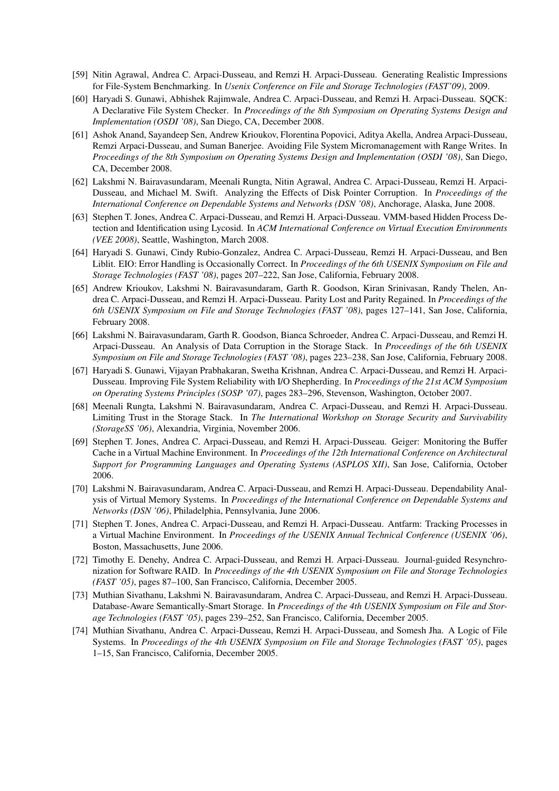- [59] Nitin Agrawal, Andrea C. Arpaci-Dusseau, and Remzi H. Arpaci-Dusseau. Generating Realistic Impressions for File-System Benchmarking. In *Usenix Conference on File and Storage Technologies (FAST'09)*, 2009.
- [60] Haryadi S. Gunawi, Abhishek Rajimwale, Andrea C. Arpaci-Dusseau, and Remzi H. Arpaci-Dusseau. SQCK: A Declarative File System Checker. In *Proceedings of the 8th Symposium on Operating Systems Design and Implementation (OSDI '08)*, San Diego, CA, December 2008.
- [61] Ashok Anand, Sayandeep Sen, Andrew Krioukov, Florentina Popovici, Aditya Akella, Andrea Arpaci-Dusseau, Remzi Arpaci-Dusseau, and Suman Banerjee. Avoiding File System Micromanagement with Range Writes. In *Proceedings of the 8th Symposium on Operating Systems Design and Implementation (OSDI '08)*, San Diego, CA, December 2008.
- [62] Lakshmi N. Bairavasundaram, Meenali Rungta, Nitin Agrawal, Andrea C. Arpaci-Dusseau, Remzi H. Arpaci-Dusseau, and Michael M. Swift. Analyzing the Effects of Disk Pointer Corruption. In *Proceedings of the International Conference on Dependable Systems and Networks (DSN '08)*, Anchorage, Alaska, June 2008.
- [63] Stephen T. Jones, Andrea C. Arpaci-Dusseau, and Remzi H. Arpaci-Dusseau. VMM-based Hidden Process Detection and Identification using Lycosid. In *ACM International Conference on Virtual Execution Environments (VEE 2008)*, Seattle, Washington, March 2008.
- [64] Haryadi S. Gunawi, Cindy Rubio-Gonzalez, Andrea C. Arpaci-Dusseau, Remzi H. Arpaci-Dusseau, and Ben Liblit. EIO: Error Handling is Occasionally Correct. In *Proceedings of the 6th USENIX Symposium on File and Storage Technologies (FAST '08)*, pages 207–222, San Jose, California, February 2008.
- [65] Andrew Krioukov, Lakshmi N. Bairavasundaram, Garth R. Goodson, Kiran Srinivasan, Randy Thelen, Andrea C. Arpaci-Dusseau, and Remzi H. Arpaci-Dusseau. Parity Lost and Parity Regained. In *Proceedings of the 6th USENIX Symposium on File and Storage Technologies (FAST '08)*, pages 127–141, San Jose, California, February 2008.
- [66] Lakshmi N. Bairavasundaram, Garth R. Goodson, Bianca Schroeder, Andrea C. Arpaci-Dusseau, and Remzi H. Arpaci-Dusseau. An Analysis of Data Corruption in the Storage Stack. In *Proceedings of the 6th USENIX Symposium on File and Storage Technologies (FAST '08)*, pages 223–238, San Jose, California, February 2008.
- [67] Haryadi S. Gunawi, Vijayan Prabhakaran, Swetha Krishnan, Andrea C. Arpaci-Dusseau, and Remzi H. Arpaci-Dusseau. Improving File System Reliability with I/O Shepherding. In *Proceedings of the 21st ACM Symposium on Operating Systems Principles (SOSP '07)*, pages 283–296, Stevenson, Washington, October 2007.
- [68] Meenali Rungta, Lakshmi N. Bairavasundaram, Andrea C. Arpaci-Dusseau, and Remzi H. Arpaci-Dusseau. Limiting Trust in the Storage Stack. In *The International Workshop on Storage Security and Survivability (StorageSS '06)*, Alexandria, Virginia, November 2006.
- [69] Stephen T. Jones, Andrea C. Arpaci-Dusseau, and Remzi H. Arpaci-Dusseau. Geiger: Monitoring the Buffer Cache in a Virtual Machine Environment. In *Proceedings of the 12th International Conference on Architectural Support for Programming Languages and Operating Systems (ASPLOS XII)*, San Jose, California, October 2006.
- [70] Lakshmi N. Bairavasundaram, Andrea C. Arpaci-Dusseau, and Remzi H. Arpaci-Dusseau. Dependability Analysis of Virtual Memory Systems. In *Proceedings of the International Conference on Dependable Systems and Networks (DSN '06)*, Philadelphia, Pennsylvania, June 2006.
- [71] Stephen T. Jones, Andrea C. Arpaci-Dusseau, and Remzi H. Arpaci-Dusseau. Antfarm: Tracking Processes in a Virtual Machine Environment. In *Proceedings of the USENIX Annual Technical Conference (USENIX '06)*, Boston, Massachusetts, June 2006.
- [72] Timothy E. Denehy, Andrea C. Arpaci-Dusseau, and Remzi H. Arpaci-Dusseau. Journal-guided Resynchronization for Software RAID. In *Proceedings of the 4th USENIX Symposium on File and Storage Technologies (FAST '05)*, pages 87–100, San Francisco, California, December 2005.
- [73] Muthian Sivathanu, Lakshmi N. Bairavasundaram, Andrea C. Arpaci-Dusseau, and Remzi H. Arpaci-Dusseau. Database-Aware Semantically-Smart Storage. In *Proceedings of the 4th USENIX Symposium on File and Storage Technologies (FAST '05)*, pages 239–252, San Francisco, California, December 2005.
- [74] Muthian Sivathanu, Andrea C. Arpaci-Dusseau, Remzi H. Arpaci-Dusseau, and Somesh Jha. A Logic of File Systems. In *Proceedings of the 4th USENIX Symposium on File and Storage Technologies (FAST '05)*, pages 1–15, San Francisco, California, December 2005.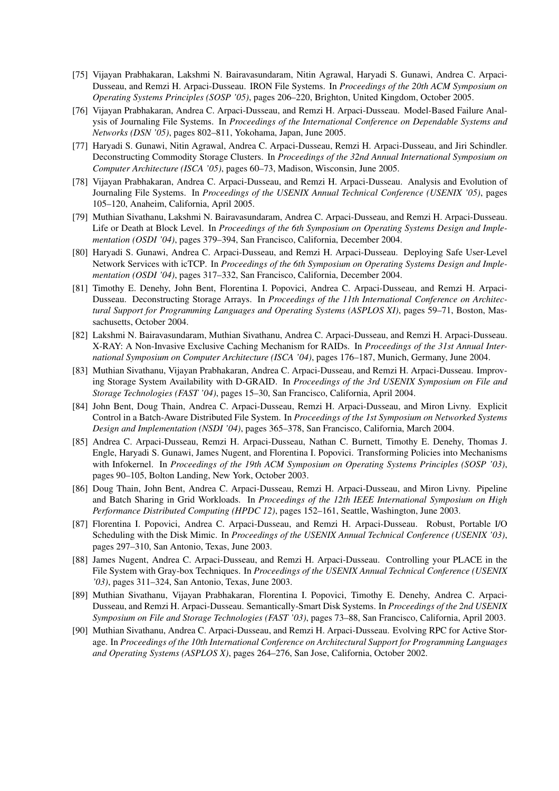- [75] Vijayan Prabhakaran, Lakshmi N. Bairavasundaram, Nitin Agrawal, Haryadi S. Gunawi, Andrea C. Arpaci-Dusseau, and Remzi H. Arpaci-Dusseau. IRON File Systems. In *Proceedings of the 20th ACM Symposium on Operating Systems Principles (SOSP '05)*, pages 206–220, Brighton, United Kingdom, October 2005.
- [76] Vijayan Prabhakaran, Andrea C. Arpaci-Dusseau, and Remzi H. Arpaci-Dusseau. Model-Based Failure Analysis of Journaling File Systems. In *Proceedings of the International Conference on Dependable Systems and Networks (DSN '05)*, pages 802–811, Yokohama, Japan, June 2005.
- [77] Haryadi S. Gunawi, Nitin Agrawal, Andrea C. Arpaci-Dusseau, Remzi H. Arpaci-Dusseau, and Jiri Schindler. Deconstructing Commodity Storage Clusters. In *Proceedings of the 32nd Annual International Symposium on Computer Architecture (ISCA '05)*, pages 60–73, Madison, Wisconsin, June 2005.
- [78] Vijayan Prabhakaran, Andrea C. Arpaci-Dusseau, and Remzi H. Arpaci-Dusseau. Analysis and Evolution of Journaling File Systems. In *Proceedings of the USENIX Annual Technical Conference (USENIX '05)*, pages 105–120, Anaheim, California, April 2005.
- [79] Muthian Sivathanu, Lakshmi N. Bairavasundaram, Andrea C. Arpaci-Dusseau, and Remzi H. Arpaci-Dusseau. Life or Death at Block Level. In *Proceedings of the 6th Symposium on Operating Systems Design and Implementation (OSDI '04)*, pages 379–394, San Francisco, California, December 2004.
- [80] Haryadi S. Gunawi, Andrea C. Arpaci-Dusseau, and Remzi H. Arpaci-Dusseau. Deploying Safe User-Level Network Services with icTCP. In *Proceedings of the 6th Symposium on Operating Systems Design and Implementation (OSDI '04)*, pages 317–332, San Francisco, California, December 2004.
- [81] Timothy E. Denehy, John Bent, Florentina I. Popovici, Andrea C. Arpaci-Dusseau, and Remzi H. Arpaci-Dusseau. Deconstructing Storage Arrays. In *Proceedings of the 11th International Conference on Architectural Support for Programming Languages and Operating Systems (ASPLOS XI)*, pages 59–71, Boston, Massachusetts, October 2004.
- [82] Lakshmi N. Bairavasundaram, Muthian Sivathanu, Andrea C. Arpaci-Dusseau, and Remzi H. Arpaci-Dusseau. X-RAY: A Non-Invasive Exclusive Caching Mechanism for RAIDs. In *Proceedings of the 31st Annual International Symposium on Computer Architecture (ISCA '04)*, pages 176–187, Munich, Germany, June 2004.
- [83] Muthian Sivathanu, Vijayan Prabhakaran, Andrea C. Arpaci-Dusseau, and Remzi H. Arpaci-Dusseau. Improving Storage System Availability with D-GRAID. In *Proceedings of the 3rd USENIX Symposium on File and Storage Technologies (FAST '04)*, pages 15–30, San Francisco, California, April 2004.
- [84] John Bent, Doug Thain, Andrea C. Arpaci-Dusseau, Remzi H. Arpaci-Dusseau, and Miron Livny. Explicit Control in a Batch-Aware Distributed File System. In *Proceedings of the 1st Symposium on Networked Systems Design and Implementation (NSDI '04)*, pages 365–378, San Francisco, California, March 2004.
- [85] Andrea C. Arpaci-Dusseau, Remzi H. Arpaci-Dusseau, Nathan C. Burnett, Timothy E. Denehy, Thomas J. Engle, Haryadi S. Gunawi, James Nugent, and Florentina I. Popovici. Transforming Policies into Mechanisms with Infokernel. In *Proceedings of the 19th ACM Symposium on Operating Systems Principles (SOSP '03)*, pages 90–105, Bolton Landing, New York, October 2003.
- [86] Doug Thain, John Bent, Andrea C. Arpaci-Dusseau, Remzi H. Arpaci-Dusseau, and Miron Livny. Pipeline and Batch Sharing in Grid Workloads. In *Proceedings of the 12th IEEE International Symposium on High Performance Distributed Computing (HPDC 12)*, pages 152–161, Seattle, Washington, June 2003.
- [87] Florentina I. Popovici, Andrea C. Arpaci-Dusseau, and Remzi H. Arpaci-Dusseau. Robust, Portable I/O Scheduling with the Disk Mimic. In *Proceedings of the USENIX Annual Technical Conference (USENIX '03)*, pages 297–310, San Antonio, Texas, June 2003.
- [88] James Nugent, Andrea C. Arpaci-Dusseau, and Remzi H. Arpaci-Dusseau. Controlling your PLACE in the File System with Gray-box Techniques. In *Proceedings of the USENIX Annual Technical Conference (USENIX '03)*, pages 311–324, San Antonio, Texas, June 2003.
- [89] Muthian Sivathanu, Vijayan Prabhakaran, Florentina I. Popovici, Timothy E. Denehy, Andrea C. Arpaci-Dusseau, and Remzi H. Arpaci-Dusseau. Semantically-Smart Disk Systems. In *Proceedings of the 2nd USENIX Symposium on File and Storage Technologies (FAST '03)*, pages 73–88, San Francisco, California, April 2003.
- [90] Muthian Sivathanu, Andrea C. Arpaci-Dusseau, and Remzi H. Arpaci-Dusseau. Evolving RPC for Active Storage. In *Proceedings of the 10th International Conference on Architectural Support for Programming Languages and Operating Systems (ASPLOS X)*, pages 264–276, San Jose, California, October 2002.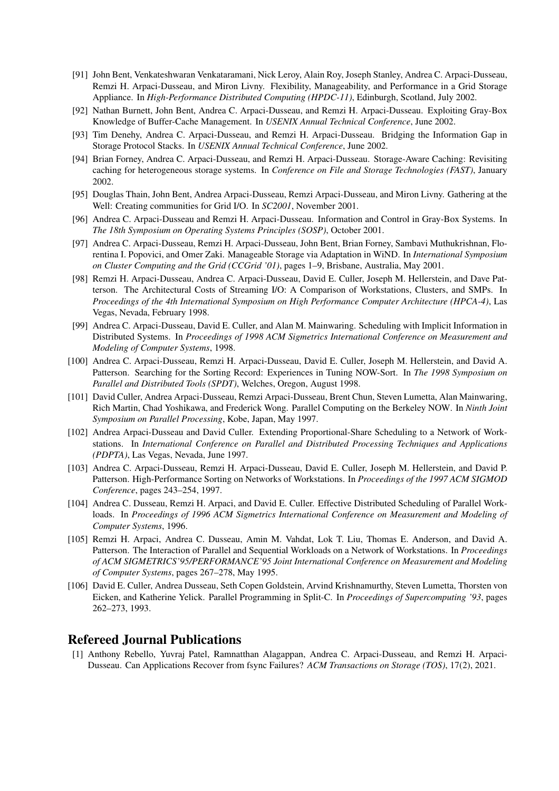- [91] John Bent, Venkateshwaran Venkataramani, Nick Leroy, Alain Roy, Joseph Stanley, Andrea C. Arpaci-Dusseau, Remzi H. Arpaci-Dusseau, and Miron Livny. Flexibility, Manageability, and Performance in a Grid Storage Appliance. In *High-Performance Distributed Computing (HPDC-11)*, Edinburgh, Scotland, July 2002.
- [92] Nathan Burnett, John Bent, Andrea C. Arpaci-Dusseau, and Remzi H. Arpaci-Dusseau. Exploiting Gray-Box Knowledge of Buffer-Cache Management. In *USENIX Annual Technical Conference*, June 2002.
- [93] Tim Denehy, Andrea C. Arpaci-Dusseau, and Remzi H. Arpaci-Dusseau. Bridging the Information Gap in Storage Protocol Stacks. In *USENIX Annual Technical Conference*, June 2002.
- [94] Brian Forney, Andrea C. Arpaci-Dusseau, and Remzi H. Arpaci-Dusseau. Storage-Aware Caching: Revisiting caching for heterogeneous storage systems. In *Conference on File and Storage Technologies (FAST)*, January 2002.
- [95] Douglas Thain, John Bent, Andrea Arpaci-Dusseau, Remzi Arpaci-Dusseau, and Miron Livny. Gathering at the Well: Creating communities for Grid I/O. In *SC2001*, November 2001.
- [96] Andrea C. Arpaci-Dusseau and Remzi H. Arpaci-Dusseau. Information and Control in Gray-Box Systems. In *The 18th Symposium on Operating Systems Principles (SOSP)*, October 2001.
- [97] Andrea C. Arpaci-Dusseau, Remzi H. Arpaci-Dusseau, John Bent, Brian Forney, Sambavi Muthukrishnan, Florentina I. Popovici, and Omer Zaki. Manageable Storage via Adaptation in WiND. In *International Symposium on Cluster Computing and the Grid (CCGrid '01)*, pages 1–9, Brisbane, Australia, May 2001.
- [98] Remzi H. Arpaci-Dusseau, Andrea C. Arpaci-Dusseau, David E. Culler, Joseph M. Hellerstein, and Dave Patterson. The Architectural Costs of Streaming I/O: A Comparison of Workstations, Clusters, and SMPs. In *Proceedings of the 4th International Symposium on High Performance Computer Architecture (HPCA-4)*, Las Vegas, Nevada, February 1998.
- [99] Andrea C. Arpaci-Dusseau, David E. Culler, and Alan M. Mainwaring. Scheduling with Implicit Information in Distributed Systems. In *Proceedings of 1998 ACM Sigmetrics International Conference on Measurement and Modeling of Computer Systems*, 1998.
- [100] Andrea C. Arpaci-Dusseau, Remzi H. Arpaci-Dusseau, David E. Culler, Joseph M. Hellerstein, and David A. Patterson. Searching for the Sorting Record: Experiences in Tuning NOW-Sort. In *The 1998 Symposium on Parallel and Distributed Tools (SPDT)*, Welches, Oregon, August 1998.
- [101] David Culler, Andrea Arpaci-Dusseau, Remzi Arpaci-Dusseau, Brent Chun, Steven Lumetta, Alan Mainwaring, Rich Martin, Chad Yoshikawa, and Frederick Wong. Parallel Computing on the Berkeley NOW. In *Ninth Joint Symposium on Parallel Processing*, Kobe, Japan, May 1997.
- [102] Andrea Arpaci-Dusseau and David Culler. Extending Proportional-Share Scheduling to a Network of Workstations. In *International Conference on Parallel and Distributed Processing Techniques and Applications (PDPTA)*, Las Vegas, Nevada, June 1997.
- [103] Andrea C. Arpaci-Dusseau, Remzi H. Arpaci-Dusseau, David E. Culler, Joseph M. Hellerstein, and David P. Patterson. High-Performance Sorting on Networks of Workstations. In *Proceedings of the 1997 ACM SIGMOD Conference*, pages 243–254, 1997.
- [104] Andrea C. Dusseau, Remzi H. Arpaci, and David E. Culler. Effective Distributed Scheduling of Parallel Workloads. In *Proceedings of 1996 ACM Sigmetrics International Conference on Measurement and Modeling of Computer Systems*, 1996.
- [105] Remzi H. Arpaci, Andrea C. Dusseau, Amin M. Vahdat, Lok T. Liu, Thomas E. Anderson, and David A. Patterson. The Interaction of Parallel and Sequential Workloads on a Network of Workstations. In *Proceedings of ACM SIGMETRICS'95/PERFORMANCE'95 Joint International Conference on Measurement and Modeling of Computer Systems*, pages 267–278, May 1995.
- [106] David E. Culler, Andrea Dusseau, Seth Copen Goldstein, Arvind Krishnamurthy, Steven Lumetta, Thorsten von Eicken, and Katherine Yelick. Parallel Programming in Split-C. In *Proceedings of Supercomputing '93*, pages 262–273, 1993.

## Refereed Journal Publications

[1] Anthony Rebello, Yuvraj Patel, Ramnatthan Alagappan, Andrea C. Arpaci-Dusseau, and Remzi H. Arpaci-Dusseau. Can Applications Recover from fsync Failures? *ACM Transactions on Storage (TOS)*, 17(2), 2021.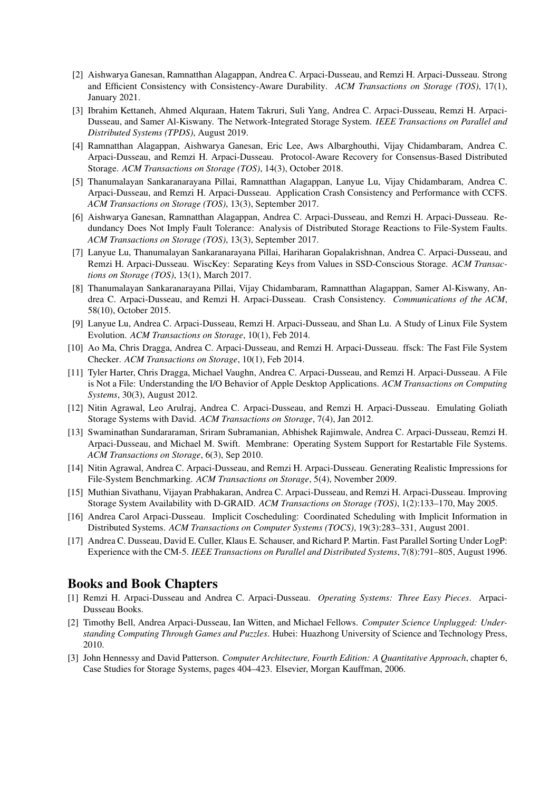- [2] Aishwarya Ganesan, Ramnatthan Alagappan, Andrea C. Arpaci-Dusseau, and Remzi H. Arpaci-Dusseau. Strong and Efficient Consistency with Consistency-Aware Durability. *ACM Transactions on Storage (TOS)*, 17(1), January 2021.
- [3] Ibrahim Kettaneh, Ahmed Alquraan, Hatem Takruri, Suli Yang, Andrea C. Arpaci-Dusseau, Remzi H. Arpaci-Dusseau, and Samer Al-Kiswany. The Network-Integrated Storage System. *IEEE Transactions on Parallel and Distributed Systems (TPDS)*, August 2019.
- [4] Ramnatthan Alagappan, Aishwarya Ganesan, Eric Lee, Aws Albarghouthi, Vijay Chidambaram, Andrea C. Arpaci-Dusseau, and Remzi H. Arpaci-Dusseau. Protocol-Aware Recovery for Consensus-Based Distributed Storage. *ACM Transactions on Storage (TOS)*, 14(3), October 2018.
- [5] Thanumalayan Sankaranarayana Pillai, Ramnatthan Alagappan, Lanyue Lu, Vijay Chidambaram, Andrea C. Arpaci-Dusseau, and Remzi H. Arpaci-Dusseau. Application Crash Consistency and Performance with CCFS. *ACM Transactions on Storage (TOS)*, 13(3), September 2017.
- [6] Aishwarya Ganesan, Ramnatthan Alagappan, Andrea C. Arpaci-Dusseau, and Remzi H. Arpaci-Dusseau. Redundancy Does Not Imply Fault Tolerance: Analysis of Distributed Storage Reactions to File-System Faults. *ACM Transactions on Storage (TOS)*, 13(3), September 2017.
- [7] Lanyue Lu, Thanumalayan Sankaranarayana Pillai, Hariharan Gopalakrishnan, Andrea C. Arpaci-Dusseau, and Remzi H. Arpaci-Dusseau. WiscKey: Separating Keys from Values in SSD-Conscious Storage. *ACM Transactions on Storage (TOS)*, 13(1), March 2017.
- [8] Thanumalayan Sankaranarayana Pillai, Vijay Chidambaram, Ramnatthan Alagappan, Samer Al-Kiswany, Andrea C. Arpaci-Dusseau, and Remzi H. Arpaci-Dusseau. Crash Consistency. *Communications of the ACM*, 58(10), October 2015.
- [9] Lanyue Lu, Andrea C. Arpaci-Dusseau, Remzi H. Arpaci-Dusseau, and Shan Lu. A Study of Linux File System Evolution. *ACM Transactions on Storage*, 10(1), Feb 2014.
- [10] Ao Ma, Chris Dragga, Andrea C. Arpaci-Dusseau, and Remzi H. Arpaci-Dusseau. ffsck: The Fast File System Checker. *ACM Transactions on Storage*, 10(1), Feb 2014.
- [11] Tyler Harter, Chris Dragga, Michael Vaughn, Andrea C. Arpaci-Dusseau, and Remzi H. Arpaci-Dusseau. A File is Not a File: Understanding the I/O Behavior of Apple Desktop Applications. *ACM Transactions on Computing Systems*, 30(3), August 2012.
- [12] Nitin Agrawal, Leo Arulraj, Andrea C. Arpaci-Dusseau, and Remzi H. Arpaci-Dusseau. Emulating Goliath Storage Systems with David. *ACM Transactions on Storage*, 7(4), Jan 2012.
- [13] Swaminathan Sundararaman, Sriram Subramanian, Abhishek Rajimwale, Andrea C. Arpaci-Dusseau, Remzi H. Arpaci-Dusseau, and Michael M. Swift. Membrane: Operating System Support for Restartable File Systems. *ACM Transactions on Storage*, 6(3), Sep 2010.
- [14] Nitin Agrawal, Andrea C. Arpaci-Dusseau, and Remzi H. Arpaci-Dusseau. Generating Realistic Impressions for File-System Benchmarking. *ACM Transactions on Storage*, 5(4), November 2009.
- [15] Muthian Sivathanu, Vijayan Prabhakaran, Andrea C. Arpaci-Dusseau, and Remzi H. Arpaci-Dusseau. Improving Storage System Availability with D-GRAID. *ACM Transactions on Storage (TOS)*, 1(2):133–170, May 2005.
- [16] Andrea Carol Arpaci-Dusseau. Implicit Coscheduling: Coordinated Scheduling with Implicit Information in Distributed Systems. *ACM Transactions on Computer Systems (TOCS)*, 19(3):283–331, August 2001.
- [17] Andrea C. Dusseau, David E. Culler, Klaus E. Schauser, and Richard P. Martin. Fast Parallel Sorting Under LogP: Experience with the CM-5. *IEEE Transactions on Parallel and Distributed Systems*, 7(8):791–805, August 1996.

## Books and Book Chapters

- [1] Remzi H. Arpaci-Dusseau and Andrea C. Arpaci-Dusseau. *Operating Systems: Three Easy Pieces*. Arpaci-Dusseau Books.
- [2] Timothy Bell, Andrea Arpaci-Dusseau, Ian Witten, and Michael Fellows. *Computer Science Unplugged: Understanding Computing Through Games and Puzzles*. Hubei: Huazhong University of Science and Technology Press, 2010.
- [3] John Hennessy and David Patterson. *Computer Architecture, Fourth Edition: A Quantitative Approach*, chapter 6, Case Studies for Storage Systems, pages 404–423. Elsevier, Morgan Kauffman, 2006.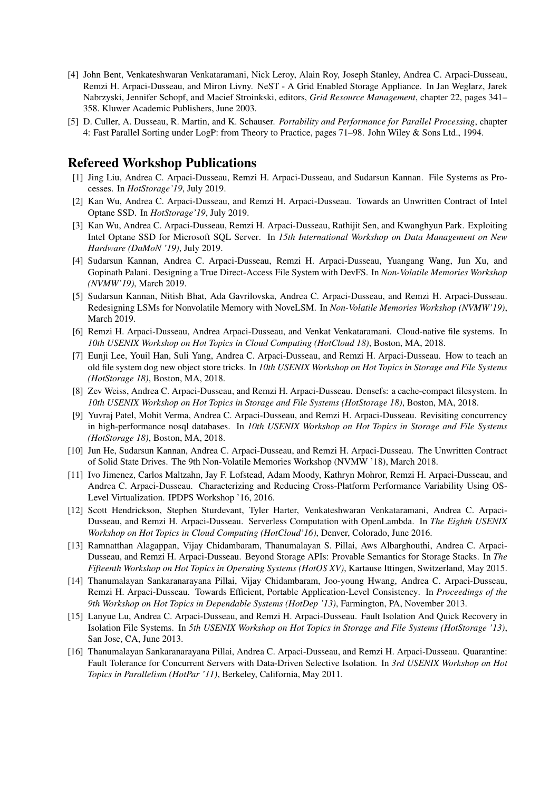- [4] John Bent, Venkateshwaran Venkataramani, Nick Leroy, Alain Roy, Joseph Stanley, Andrea C. Arpaci-Dusseau, Remzi H. Arpaci-Dusseau, and Miron Livny. NeST - A Grid Enabled Storage Appliance. In Jan Weglarz, Jarek Nabrzyski, Jennifer Schopf, and Macief Stroinkski, editors, *Grid Resource Management*, chapter 22, pages 341– 358. Kluwer Academic Publishers, June 2003.
- [5] D. Culler, A. Dusseau, R. Martin, and K. Schauser. *Portability and Performance for Parallel Processing*, chapter 4: Fast Parallel Sorting under LogP: from Theory to Practice, pages 71–98. John Wiley & Sons Ltd., 1994.

#### Refereed Workshop Publications

- [1] Jing Liu, Andrea C. Arpaci-Dusseau, Remzi H. Arpaci-Dusseau, and Sudarsun Kannan. File Systems as Processes. In *HotStorage'19*, July 2019.
- [2] Kan Wu, Andrea C. Arpaci-Dusseau, and Remzi H. Arpaci-Dusseau. Towards an Unwritten Contract of Intel Optane SSD. In *HotStorage'19*, July 2019.
- [3] Kan Wu, Andrea C. Arpaci-Dusseau, Remzi H. Arpaci-Dusseau, Rathijit Sen, and Kwanghyun Park. Exploiting Intel Optane SSD for Microsoft SQL Server. In *15th International Workshop on Data Management on New Hardware (DaMoN '19)*, July 2019.
- [4] Sudarsun Kannan, Andrea C. Arpaci-Dusseau, Remzi H. Arpaci-Dusseau, Yuangang Wang, Jun Xu, and Gopinath Palani. Designing a True Direct-Access File System with DevFS. In *Non-Volatile Memories Workshop (NVMW'19)*, March 2019.
- [5] Sudarsun Kannan, Nitish Bhat, Ada Gavrilovska, Andrea C. Arpaci-Dusseau, and Remzi H. Arpaci-Dusseau. Redesigning LSMs for Nonvolatile Memory with NoveLSM. In *Non-Volatile Memories Workshop (NVMW'19)*, March 2019.
- [6] Remzi H. Arpaci-Dusseau, Andrea Arpaci-Dusseau, and Venkat Venkataramani. Cloud-native file systems. In *10th USENIX Workshop on Hot Topics in Cloud Computing (HotCloud 18)*, Boston, MA, 2018.
- [7] Eunji Lee, Youil Han, Suli Yang, Andrea C. Arpaci-Dusseau, and Remzi H. Arpaci-Dusseau. How to teach an old file system dog new object store tricks. In *10th USENIX Workshop on Hot Topics in Storage and File Systems (HotStorage 18)*, Boston, MA, 2018.
- [8] Zev Weiss, Andrea C. Arpaci-Dusseau, and Remzi H. Arpaci-Dusseau. Densefs: a cache-compact filesystem. In *10th USENIX Workshop on Hot Topics in Storage and File Systems (HotStorage 18)*, Boston, MA, 2018.
- [9] Yuvraj Patel, Mohit Verma, Andrea C. Arpaci-Dusseau, and Remzi H. Arpaci-Dusseau. Revisiting concurrency in high-performance nosql databases. In *10th USENIX Workshop on Hot Topics in Storage and File Systems (HotStorage 18)*, Boston, MA, 2018.
- [10] Jun He, Sudarsun Kannan, Andrea C. Arpaci-Dusseau, and Remzi H. Arpaci-Dusseau. The Unwritten Contract of Solid State Drives. The 9th Non-Volatile Memories Workshop (NVMW '18), March 2018.
- [11] Ivo Jimenez, Carlos Maltzahn, Jay F. Lofstead, Adam Moody, Kathryn Mohror, Remzi H. Arpaci-Dusseau, and Andrea C. Arpaci-Dusseau. Characterizing and Reducing Cross-Platform Performance Variability Using OS-Level Virtualization. IPDPS Workshop '16, 2016.
- [12] Scott Hendrickson, Stephen Sturdevant, Tyler Harter, Venkateshwaran Venkataramani, Andrea C. Arpaci-Dusseau, and Remzi H. Arpaci-Dusseau. Serverless Computation with OpenLambda. In *The Eighth USENIX Workshop on Hot Topics in Cloud Computing (HotCloud'16)*, Denver, Colorado, June 2016.
- [13] Ramnatthan Alagappan, Vijay Chidambaram, Thanumalayan S. Pillai, Aws Albarghouthi, Andrea C. Arpaci-Dusseau, and Remzi H. Arpaci-Dusseau. Beyond Storage APIs: Provable Semantics for Storage Stacks. In *The Fifteenth Workshop on Hot Topics in Operating Systems (HotOS XV)*, Kartause Ittingen, Switzerland, May 2015.
- [14] Thanumalayan Sankaranarayana Pillai, Vijay Chidambaram, Joo-young Hwang, Andrea C. Arpaci-Dusseau, Remzi H. Arpaci-Dusseau. Towards Efficient, Portable Application-Level Consistency. In *Proceedings of the 9th Workshop on Hot Topics in Dependable Systems (HotDep '13)*, Farmington, PA, November 2013.
- [15] Lanyue Lu, Andrea C. Arpaci-Dusseau, and Remzi H. Arpaci-Dusseau. Fault Isolation And Quick Recovery in Isolation File Systems. In *5th USENIX Workshop on Hot Topics in Storage and File Systems (HotStorage '13)*, San Jose, CA, June 2013.
- [16] Thanumalayan Sankaranarayana Pillai, Andrea C. Arpaci-Dusseau, and Remzi H. Arpaci-Dusseau. Quarantine: Fault Tolerance for Concurrent Servers with Data-Driven Selective Isolation. In *3rd USENIX Workshop on Hot Topics in Parallelism (HotPar '11)*, Berkeley, California, May 2011.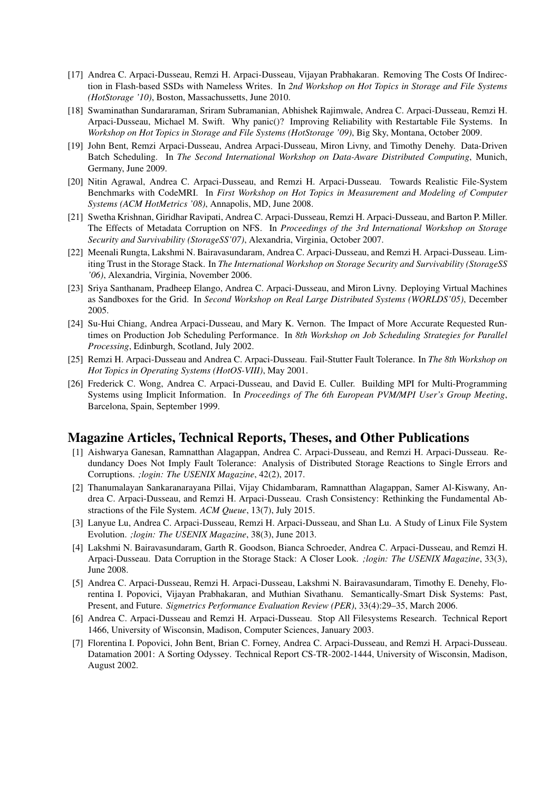- [17] Andrea C. Arpaci-Dusseau, Remzi H. Arpaci-Dusseau, Vijayan Prabhakaran. Removing The Costs Of Indirection in Flash-based SSDs with Nameless Writes. In *2nd Workshop on Hot Topics in Storage and File Systems (HotStorage '10)*, Boston, Massachussetts, June 2010.
- [18] Swaminathan Sundararaman, Sriram Subramanian, Abhishek Rajimwale, Andrea C. Arpaci-Dusseau, Remzi H. Arpaci-Dusseau, Michael M. Swift. Why panic()? Improving Reliability with Restartable File Systems. In *Workshop on Hot Topics in Storage and File Systems (HotStorage '09)*, Big Sky, Montana, October 2009.
- [19] John Bent, Remzi Arpaci-Dusseau, Andrea Arpaci-Dusseau, Miron Livny, and Timothy Denehy. Data-Driven Batch Scheduling. In *The Second International Workshop on Data-Aware Distributed Computing*, Munich, Germany, June 2009.
- [20] Nitin Agrawal, Andrea C. Arpaci-Dusseau, and Remzi H. Arpaci-Dusseau. Towards Realistic File-System Benchmarks with CodeMRI. In *First Workshop on Hot Topics in Measurement and Modeling of Computer Systems (ACM HotMetrics '08)*, Annapolis, MD, June 2008.
- [21] Swetha Krishnan, Giridhar Ravipati, Andrea C. Arpaci-Dusseau, Remzi H. Arpaci-Dusseau, and Barton P. Miller. The Effects of Metadata Corruption on NFS. In *Proceedings of the 3rd International Workshop on Storage Security and Survivability (StorageSS'07)*, Alexandria, Virginia, October 2007.
- [22] Meenali Rungta, Lakshmi N. Bairavasundaram, Andrea C. Arpaci-Dusseau, and Remzi H. Arpaci-Dusseau. Limiting Trust in the Storage Stack. In *The International Workshop on Storage Security and Survivability (StorageSS '06)*, Alexandria, Virginia, November 2006.
- [23] Sriya Santhanam, Pradheep Elango, Andrea C. Arpaci-Dusseau, and Miron Livny. Deploying Virtual Machines as Sandboxes for the Grid. In *Second Workshop on Real Large Distributed Systems (WORLDS'05)*, December 2005.
- [24] Su-Hui Chiang, Andrea Arpaci-Dusseau, and Mary K. Vernon. The Impact of More Accurate Requested Runtimes on Production Job Scheduling Performance. In *8th Workshop on Job Scheduling Strategies for Parallel Processing*, Edinburgh, Scotland, July 2002.
- [25] Remzi H. Arpaci-Dusseau and Andrea C. Arpaci-Dusseau. Fail-Stutter Fault Tolerance. In *The 8th Workshop on Hot Topics in Operating Systems (HotOS-VIII)*, May 2001.
- [26] Frederick C. Wong, Andrea C. Arpaci-Dusseau, and David E. Culler. Building MPI for Multi-Programming Systems using Implicit Information. In *Proceedings of The 6th European PVM/MPI User's Group Meeting*, Barcelona, Spain, September 1999.

## Magazine Articles, Technical Reports, Theses, and Other Publications

- [1] Aishwarya Ganesan, Ramnatthan Alagappan, Andrea C. Arpaci-Dusseau, and Remzi H. Arpaci-Dusseau. Redundancy Does Not Imply Fault Tolerance: Analysis of Distributed Storage Reactions to Single Errors and Corruptions. *;login: The USENIX Magazine*, 42(2), 2017.
- [2] Thanumalayan Sankaranarayana Pillai, Vijay Chidambaram, Ramnatthan Alagappan, Samer Al-Kiswany, Andrea C. Arpaci-Dusseau, and Remzi H. Arpaci-Dusseau. Crash Consistency: Rethinking the Fundamental Abstractions of the File System. *ACM Queue*, 13(7), July 2015.
- [3] Lanyue Lu, Andrea C. Arpaci-Dusseau, Remzi H. Arpaci-Dusseau, and Shan Lu. A Study of Linux File System Evolution. *;login: The USENIX Magazine*, 38(3), June 2013.
- [4] Lakshmi N. Bairavasundaram, Garth R. Goodson, Bianca Schroeder, Andrea C. Arpaci-Dusseau, and Remzi H. Arpaci-Dusseau. Data Corruption in the Storage Stack: A Closer Look. *;login: The USENIX Magazine*, 33(3), June 2008.
- [5] Andrea C. Arpaci-Dusseau, Remzi H. Arpaci-Dusseau, Lakshmi N. Bairavasundaram, Timothy E. Denehy, Florentina I. Popovici, Vijayan Prabhakaran, and Muthian Sivathanu. Semantically-Smart Disk Systems: Past, Present, and Future. *Sigmetrics Performance Evaluation Review (PER)*, 33(4):29–35, March 2006.
- [6] Andrea C. Arpaci-Dusseau and Remzi H. Arpaci-Dusseau. Stop All Filesystems Research. Technical Report 1466, University of Wisconsin, Madison, Computer Sciences, January 2003.
- [7] Florentina I. Popovici, John Bent, Brian C. Forney, Andrea C. Arpaci-Dusseau, and Remzi H. Arpaci-Dusseau. Datamation 2001: A Sorting Odyssey. Technical Report CS-TR-2002-1444, University of Wisconsin, Madison, August 2002.